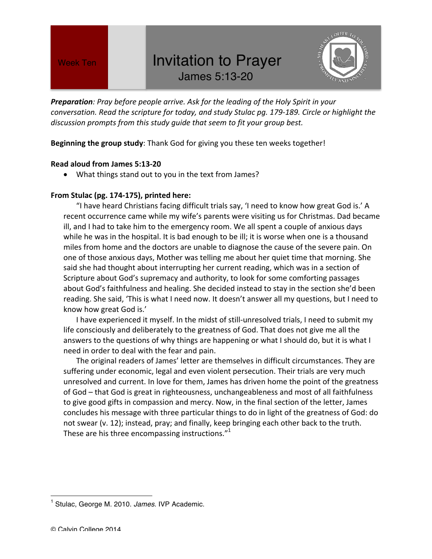## Week Ten **Invitation to Prayer** James 5:13-20



**Preparation**: Pray before people arrive. Ask for the leading of the Holy Spirit in your *conversation.* Read the scripture for today, and study Stulac pg. 179-189. Circle or highlight the discussion prompts from this study guide that seem to fit your group best.

**Beginning the group study:** Thank God for giving you these ten weeks together!

## **Read aloud from James 5:13-20**

• What things stand out to you in the text from James?

## From Stulac (pg. 174-175), printed here:

"I have heard Christians facing difficult trials say, 'I need to know how great God is.' A recent occurrence came while my wife's parents were visiting us for Christmas. Dad became ill, and I had to take him to the emergency room. We all spent a couple of anxious days while he was in the hospital. It is bad enough to be ill; it is worse when one is a thousand miles from home and the doctors are unable to diagnose the cause of the severe pain. On one of those anxious days, Mother was telling me about her quiet time that morning. She said she had thought about interrupting her current reading, which was in a section of Scripture about God's supremacy and authority, to look for some comforting passages about God's faithfulness and healing. She decided instead to stay in the section she'd been reading. She said, 'This is what I need now. It doesn't answer all my questions, but I need to know how great God is.'

I have experienced it myself. In the midst of still-unresolved trials, I need to submit my life consciously and deliberately to the greatness of God. That does not give me all the answers to the questions of why things are happening or what I should do, but it is what I need in order to deal with the fear and pain.

The original readers of James' letter are themselves in difficult circumstances. They are suffering under economic, legal and even violent persecution. Their trials are very much unresolved and current. In love for them, James has driven home the point of the greatness of God – that God is great in righteousness, unchangeableness and most of all faithfulness to give good gifts in compassion and mercy. Now, in the final section of the letter, James concludes his message with three particular things to do in light of the greatness of God: do not swear (v. 12); instead, pray; and finally, keep bringing each other back to the truth. These are his three encompassing instructions. $"^{1}$ 

 

<sup>1</sup> Stulac, George M. 2010. *James*. IVP Academic.